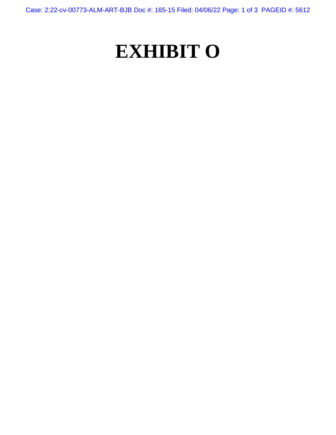Case: 2:22-cv-00773-ALM-ART-BJB Doc #: 165-15 Filed: 04/06/22 Page: 1 of 3 PAGEID #: 5612

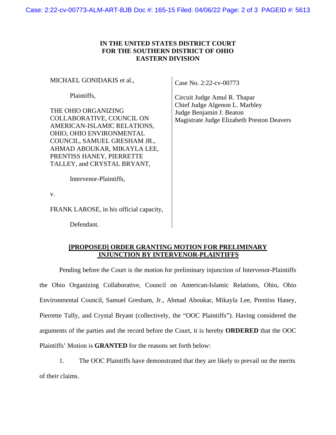## **IN THE UNITED STATES DISTRICT COURT FOR THE SOUTHERN DISTRICT OF OHIO EASTERN DIVISION**

MICHAEL GONIDAKIS et al.,

Plaintiffs,

THE OHIO ORGANIZING COLLABORATIVE, COUNCIL ON AMERICAN-ISLAMIC RELATIONS, OHIO, OHIO ENVIRONMENTAL COUNCIL, SAMUEL GRESHAM JR., AHMAD ABOUKAR, MIKAYLA LEE, PRENTISS HANEY, PIERRETTE TALLEY, and CRYSTAL BRYANT,

Case No. 2:22-cv-00773

Circuit Judge Amul R. Thapar Chief Judge Algenon L. Marbley Judge Benjamin J. Beaton Magistrate Judge Elizabeth Preston Deavers

Intervenor-Plaintiffs,

v.

FRANK LAROSE, in his official capacity,

Defendant.

## **[PROPOSED] ORDER GRANTING MOTION FOR PRELIMINARY INJUNCTION BY INTERVENOR-PLAINTIFFS**

Pending before the Court is the motion for preliminary injunction of Intervenor-Plaintiffs the Ohio Organizing Collaborative, Council on American-Islamic Relations, Ohio, Ohio Environmental Council, Samuel Gresham, Jr., Ahmad Aboukar, Mikayla Lee, Prentiss Haney, Pierrette Tally, and Crystal Bryant (collectively, the "OOC Plaintiffs"). Having considered the arguments of the parties and the record before the Court, it is hereby **ORDERED** that the OOC Plaintiffs' Motion is **GRANTED** for the reasons set forth below:

1. The OOC Plaintiffs have demonstrated that they are likely to prevail on the merits of their claims.